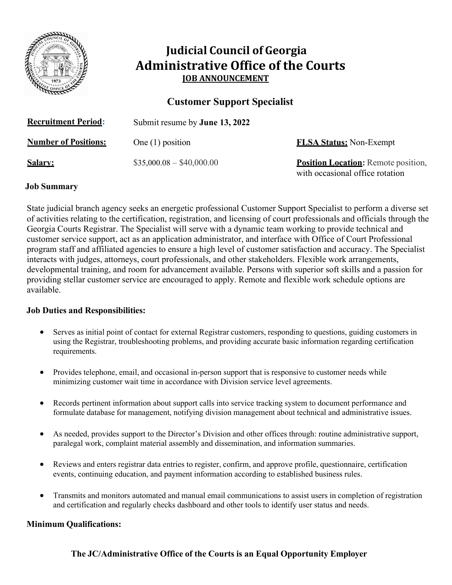

# **Judicial Council of Georgia Administrative Office of the Courts JOB ANNOUNCEMENT**

## **Customer Support Specialist**

| <b>Recruitment Period:</b>  | Submit resume by <b>June 13, 2022</b> |                                                                               |
|-----------------------------|---------------------------------------|-------------------------------------------------------------------------------|
| <b>Number of Positions:</b> | One $(1)$ position                    | <b>FLSA Status:</b> Non-Exempt                                                |
| <u>Salarv:</u>              | $$35,000.08 - $40,000.00$             | <b>Position Location:</b> Remote position,<br>with occasional office rotation |

#### **Job Summary**

State judicial branch agency seeks an energetic professional Customer Support Specialist to perform a diverse set of activities relating to the certification, registration, and licensing of court professionals and officials through the Georgia Courts Registrar. The Specialist will serve with a dynamic team working to provide technical and customer service support, act as an application administrator, and interface with Office of Court Professional program staff and affiliated agencies to ensure a high level of customer satisfaction and accuracy. The Specialist interacts with judges, attorneys, court professionals, and other stakeholders. Flexible work arrangements, developmental training, and room for advancement available. Persons with superior soft skills and a passion for providing stellar customer service are encouraged to apply. Remote and flexible work schedule options are available.

#### **Job Duties and Responsibilities:**

- Serves as initial point of contact for external Registrar customers, responding to questions, guiding customers in using the Registrar, troubleshooting problems, and providing accurate basic information regarding certification requirements.
- Provides telephone, email, and occasional in-person support that is responsive to customer needs while minimizing customer wait time in accordance with Division service level agreements.
- Records pertinent information about support calls into service tracking system to document performance and formulate database for management, notifying division management about technical and administrative issues.
- As needed, provides support to the Director's Division and other offices through: routine administrative support, paralegal work, complaint material assembly and dissemination, and information summaries.
- Reviews and enters registrar data entries to register, confirm, and approve profile, questionnaire, certification events, continuing education, and payment information according to established business rules.
- Transmits and monitors automated and manual email communications to assist users in completion of registration and certification and regularly checks dashboard and other tools to identify user status and needs.

#### **Minimum Qualifications:**

## **The JC/Administrative Office of the Courts is an Equal Opportunity Employer**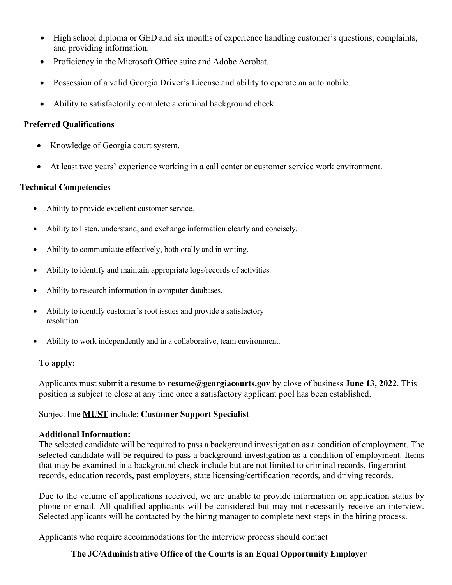- High school diploma or GED and six months of experience handling customer's questions, complaints, and providing information.
- Proficiency in the Microsoft Office suite and Adobe Acrobat.
- Possession of a valid Georgia Driver's License and ability to operate an automobile.
- Ability to satisfactorily complete a criminal background check.

#### **Preferred Qualifications**

- Knowledge of Georgia court system.
- At least two years' experience working in a call center or customer service work environment.

#### **Technical Competencies**

- Ability to provide excellent customer service.
- Ability to listen, understand, and exchange information clearly and concisely.
- Ability to communicate effectively, both orally and in writing.
- Ability to identify and maintain appropriate logs/records of activities.
- Ability to research information in computer databases.
- Ability to identify customer's root issues and provide a satisfactory resolution.
- Ability to work independently and in a collaborative, team environment.

## **To apply:**

Applicants must submit a resume to **[resume@georgiacourts.gov](mailto:resume@georgiacourts.gov)** by close of business **June 13, 2022**. This position is subject to close at any time once a satisfactory applicant pool has been established.

## Subject line **MUST** include: **Customer Support Specialist**

#### **Additional Information:**

The selected candidate will be required to pass a background investigation as a condition of employment. The selected candidate will be required to pass a background investigation as a condition of employment. Items that may be examined in a background check include but are not limited to criminal records, fingerprint records, education records, past employers, state licensing/certification records, and driving records.

Due to the volume of applications received, we are unable to provide information on application status by phone or email. All qualified applicants will be considered but may not necessarily receive an interview. Selected applicants will be contacted by the hiring manager to complete next steps in the hiring process.

Applicants who require accommodations for the interview process should contact

## **The JC/Administrative Office of the Courts is an Equal Opportunity Employer**